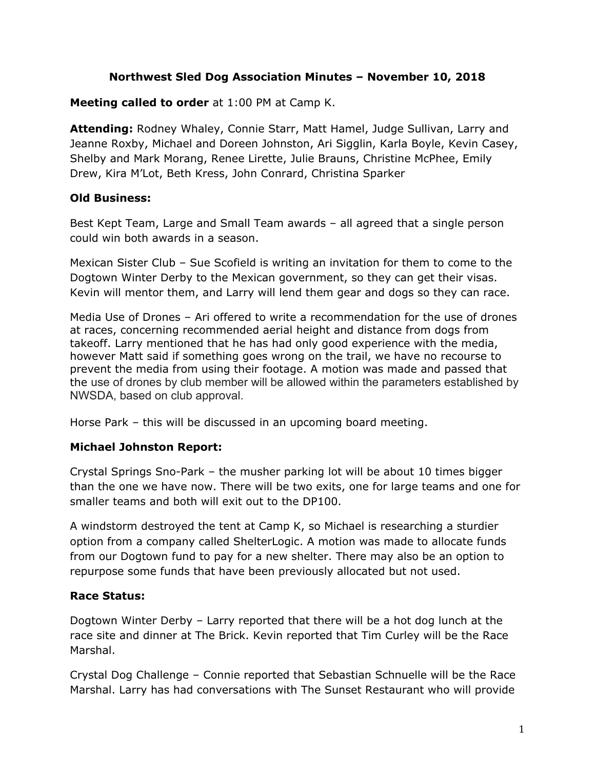### **Northwest Sled Dog Association Minutes – November 10, 2018**

**Meeting called to order** at 1:00 PM at Camp K.

**Attending:** Rodney Whaley, Connie Starr, Matt Hamel, Judge Sullivan, Larry and Jeanne Roxby, Michael and Doreen Johnston, Ari Sigglin, Karla Boyle, Kevin Casey, Shelby and Mark Morang, Renee Lirette, Julie Brauns, Christine McPhee, Emily Drew, Kira M'Lot, Beth Kress, John Conrard, Christina Sparker

# **Old Business:**

Best Kept Team, Large and Small Team awards – all agreed that a single person could win both awards in a season.

Mexican Sister Club – Sue Scofield is writing an invitation for them to come to the Dogtown Winter Derby to the Mexican government, so they can get their visas. Kevin will mentor them, and Larry will lend them gear and dogs so they can race.

Media Use of Drones – Ari offered to write a recommendation for the use of drones at races, concerning recommended aerial height and distance from dogs from takeoff. Larry mentioned that he has had only good experience with the media, however Matt said if something goes wrong on the trail, we have no recourse to prevent the media from using their footage. A motion was made and passed that the use of drones by club member will be allowed within the parameters established by NWSDA, based on club approval.

Horse Park – this will be discussed in an upcoming board meeting.

# **Michael Johnston Report:**

Crystal Springs Sno-Park – the musher parking lot will be about 10 times bigger than the one we have now. There will be two exits, one for large teams and one for smaller teams and both will exit out to the DP100.

A windstorm destroyed the tent at Camp K, so Michael is researching a sturdier option from a company called ShelterLogic. A motion was made to allocate funds from our Dogtown fund to pay for a new shelter. There may also be an option to repurpose some funds that have been previously allocated but not used.

# **Race Status:**

Dogtown Winter Derby – Larry reported that there will be a hot dog lunch at the race site and dinner at The Brick. Kevin reported that Tim Curley will be the Race Marshal.

Crystal Dog Challenge – Connie reported that Sebastian Schnuelle will be the Race Marshal. Larry has had conversations with The Sunset Restaurant who will provide